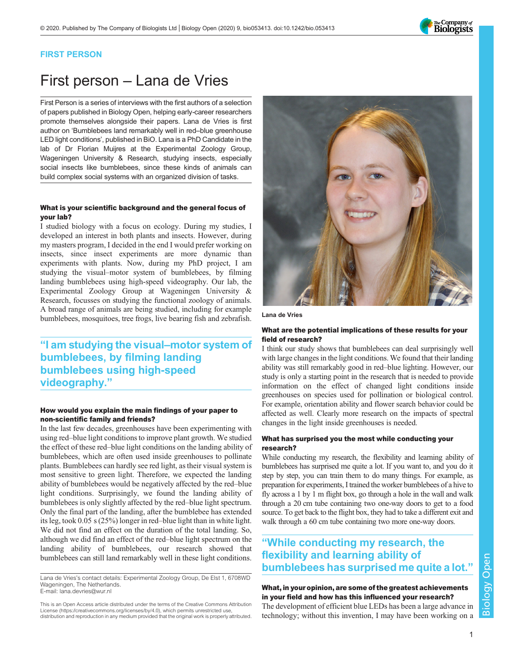

## FIRST PERSON

# First person – Lana de Vries

First Person is a series of interviews with the first authors of a selection of papers published in Biology Open, helping early-career researchers promote themselves alongside their papers. Lana de Vries is first author on '[Bumblebees land remarkably well in red](#page-1-0)–blue greenhouse [LED light conditions](#page-1-0)', published in BiO. Lana is a PhD Candidate in the lab of Dr Florian Muijres at the Experimental Zoology Group, Wageningen University & Research, studying insects, especially social insects like bumblebees, since these kinds of animals can build complex social systems with an organized division of tasks.

#### What is your scientific background and the general focus of your lab?

I studied biology with a focus on ecology. During my studies, I developed an interest in both plants and insects. However, during my masters program, I decided in the end I would prefer working on insects, since insect experiments are more dynamic than experiments with plants. Now, during my PhD project, I am studying the visual–motor system of bumblebees, by filming landing bumblebees using high-speed videography. Our lab, the Experimental Zoology Group at Wageningen University & Research, focusses on studying the functional zoology of animals. A broad range of animals are being studied, including for example bumblebees, mosquitoes, tree frogs, live bearing fish and zebrafish.

# "I am studying the visual–motor system of bumblebees, by filming landing bumblebees using high-speed videography."

### How would you explain the main findings of your paper to non-scientific family and friends?

In the last few decades, greenhouses have been experimenting with using red–blue light conditions to improve plant growth. We studied the effect of these red–blue light conditions on the landing ability of bumblebees, which are often used inside greenhouses to pollinate plants. Bumblebees can hardly see red light, as their visual system is most sensitive to green light. Therefore, we expected the landing ability of bumblebees would be negatively affected by the red–blue light conditions. Surprisingly, we found the landing ability of bumblebees is only slightly affected by the red–blue light spectrum. Only the final part of the landing, after the bumblebee has extended its leg, took 0.05 s (25%) longer in red–blue light than in white light. We did not find an effect on the duration of the total landing. So, although we did find an effect of the red–blue light spectrum on the landing ability of bumblebees, our research showed that bumblebees can still land remarkably well in these light conditions.

Lana de Vries's contact details: Experimental Zoology Group, De Elst 1, 6708WD Wageningen, The Netherlands. E-mail: [lana.devries@wur.nl](mailto:lana.devries@wur.nl)

This is an Open Access article distributed under the terms of the Creative Commons Attribution License (https://creativecommons.org/licenses/by/4.0), which permits unrestricted use, distribution and reproduction in any medium provided that the original work is properly attributed.



Lana de Vries

#### What are the potential implications of these results for your field of research?

I think our study shows that bumblebees can deal surprisingly well with large changes in the light conditions. We found that their landing ability was still remarkably good in red–blue lighting. However, our study is only a starting point in the research that is needed to provide information on the effect of changed light conditions inside greenhouses on species used for pollination or biological control. For example, orientation ability and flower search behavior could be affected as well. Clearly more research on the impacts of spectral changes in the light inside greenhouses is needed.

### What has surprised you the most while conducting your research?

While conducting my research, the flexibility and learning ability of bumblebees has surprised me quite a lot. If you want to, and you do it step by step, you can train them to do many things. For example, as preparation for experiments, I trained the worker bumblebees of a hive to fly across a 1 by 1 m flight box, go through a hole in the wall and walk through a 20 cm tube containing two one-way doors to get to a food source. To get back to the flight box, they had to take a different exit and walk through a 60 cm tube containing two more one-way doors.

# "While conducting my research, the flexibility and learning ability of bumblebees has surprised me quite a lot."

## What, in your opinion, are some of the greatest achievements in your field and how has this influenced your research?

The development of efficient blue LEDs has been a large advance in technology; without this invention, I may have been working on a